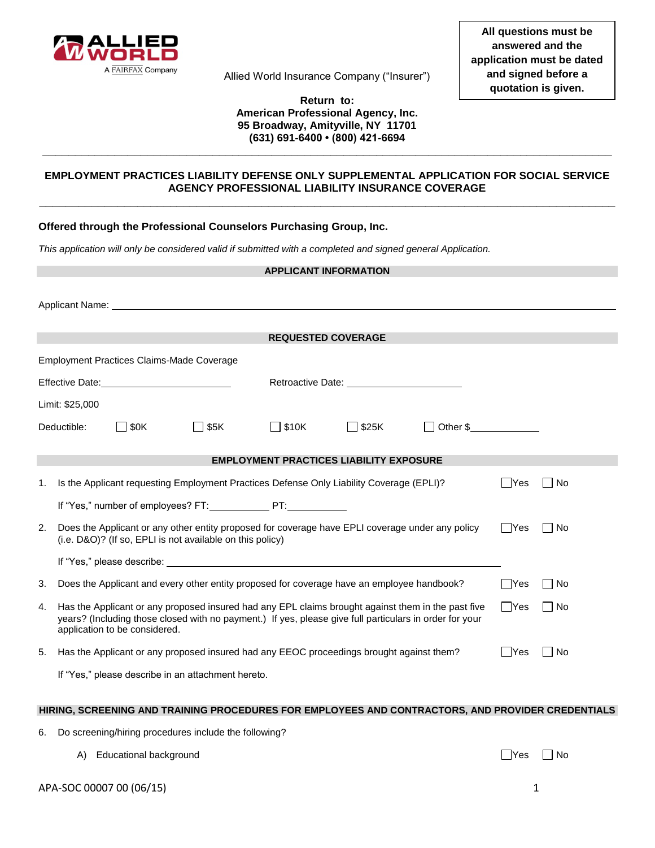

Allied World Insurance Company ("Insurer")

### **Return to: American Professional Agency, Inc. 95 Broadway, Amityville, NY 11701 (631) 691-6400 • (800) 421-6694**

**\_\_\_\_\_\_\_\_\_\_\_\_\_\_\_\_\_\_\_\_\_\_\_\_\_\_\_\_\_\_\_\_\_\_\_\_\_\_\_\_\_\_\_\_\_\_\_\_\_\_\_\_\_\_\_\_\_\_\_\_\_\_\_\_\_\_\_\_\_\_\_\_\_\_\_\_\_\_\_\_\_\_\_\_\_\_\_**

## **EMPLOYMENT PRACTICES LIABILITY DEFENSE ONLY SUPPLEMENTAL APPLICATION FOR SOCIAL SERVICE AGENCY PROFESSIONAL LIABILITY INSURANCE COVERAGE \_\_\_\_\_\_\_\_\_\_\_\_\_\_\_\_\_\_\_\_\_\_\_\_\_\_\_\_\_\_\_\_\_\_\_\_\_\_\_\_\_\_\_\_\_\_\_\_\_\_\_\_\_\_\_\_\_\_\_\_\_\_\_\_\_\_\_\_\_\_\_\_\_\_\_\_\_\_\_\_\_\_\_\_\_\_\_\_**

# **Offered through the Professional Counselors Purchasing Group, Inc.**

*This application will only be considered valid if submitted with a completed and signed general Application.* 

| <b>APPLICANT INFORMATION</b>                                                                     |                                                                                                                                                                                                                                                                       |                                           |                                                                                                                                                                                                                                      |                                                |            |    |  |  |
|--------------------------------------------------------------------------------------------------|-----------------------------------------------------------------------------------------------------------------------------------------------------------------------------------------------------------------------------------------------------------------------|-------------------------------------------|--------------------------------------------------------------------------------------------------------------------------------------------------------------------------------------------------------------------------------------|------------------------------------------------|------------|----|--|--|
|                                                                                                  |                                                                                                                                                                                                                                                                       |                                           | Applicant Name: Name: Name: Name: Name: Name: Name: Name: Name: Name: Name: Name: Name: Name: Name: Name: Name: Name: Name: Name: Name: Name: Name: Name: Name: Name: Name: Name: Name: Name: Name: Name: Name: Name: Name: Na       |                                                |            |    |  |  |
|                                                                                                  |                                                                                                                                                                                                                                                                       |                                           |                                                                                                                                                                                                                                      |                                                |            |    |  |  |
|                                                                                                  |                                                                                                                                                                                                                                                                       |                                           |                                                                                                                                                                                                                                      | <b>REQUESTED COVERAGE</b>                      |            |    |  |  |
|                                                                                                  |                                                                                                                                                                                                                                                                       | Employment Practices Claims-Made Coverage |                                                                                                                                                                                                                                      |                                                |            |    |  |  |
|                                                                                                  |                                                                                                                                                                                                                                                                       |                                           |                                                                                                                                                                                                                                      |                                                |            |    |  |  |
| Limit: \$25,000                                                                                  |                                                                                                                                                                                                                                                                       |                                           |                                                                                                                                                                                                                                      |                                                |            |    |  |  |
| $\Box$ \$0K<br>ヿ\$5K<br>Deductible:                                                              |                                                                                                                                                                                                                                                                       |                                           | $\Box$ \$10K                                                                                                                                                                                                                         | □ \$25K                                        | Other \$   |    |  |  |
|                                                                                                  |                                                                                                                                                                                                                                                                       |                                           |                                                                                                                                                                                                                                      | <b>EMPLOYMENT PRACTICES LIABILITY EXPOSURE</b> |            |    |  |  |
| 1.                                                                                               | Is the Applicant requesting Employment Practices Defense Only Liability Coverage (EPLI)?<br>∣ ∣Yes<br>N <sub>o</sub>                                                                                                                                                  |                                           |                                                                                                                                                                                                                                      |                                                |            |    |  |  |
|                                                                                                  |                                                                                                                                                                                                                                                                       |                                           | If "Yes," number of employees? FT: PT:                                                                                                                                                                                               |                                                |            |    |  |  |
| 2.                                                                                               | Does the Applicant or any other entity proposed for coverage have EPLI coverage under any policy<br>l No<br>∣ ∣Yes<br>(i.e. D&O)? (If so, EPLI is not available on this policy)                                                                                       |                                           |                                                                                                                                                                                                                                      |                                                |            |    |  |  |
|                                                                                                  |                                                                                                                                                                                                                                                                       |                                           | If "Yes," please describe: <u>with a set of the set of the set of the set of the set of the set of the set of the set of the set of the set of the set of the set of the set of the set of the set of the set of the set of the </u> |                                                |            |    |  |  |
| 3.<br>Does the Applicant and every other entity proposed for coverage have an employee handbook? |                                                                                                                                                                                                                                                                       |                                           |                                                                                                                                                                                                                                      |                                                | $\Box$ Yes | No |  |  |
| 4.                                                                                               | $\Box$ Yes<br>Has the Applicant or any proposed insured had any EPL claims brought against them in the past five<br>   No<br>years? (Including those closed with no payment.) If yes, please give full particulars in order for your<br>application to be considered. |                                           |                                                                                                                                                                                                                                      |                                                |            |    |  |  |
| 5.                                                                                               | Has the Applicant or any proposed insured had any EEOC proceedings brought against them?<br>– IYes<br>l INo                                                                                                                                                           |                                           |                                                                                                                                                                                                                                      |                                                |            |    |  |  |
|                                                                                                  | If "Yes," please describe in an attachment hereto.                                                                                                                                                                                                                    |                                           |                                                                                                                                                                                                                                      |                                                |            |    |  |  |

#### **HIRING, SCREENING AND TRAINING PROCEDURES FOR EMPLOYEES AND CONTRACTORS, AND PROVIDER CREDENTIALS**

- 6. Do screening/hiring procedures include the following?
	- A) Educational background  $\Box$  Yes  $\Box$  No